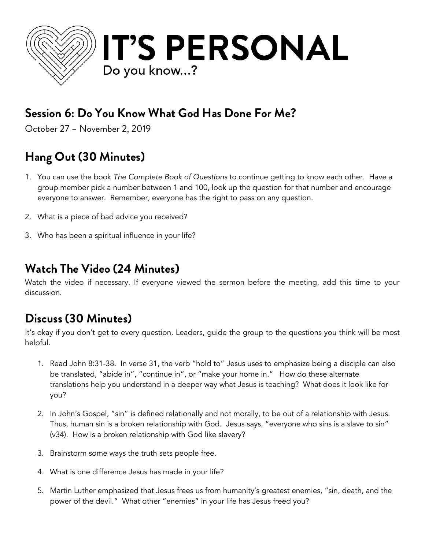

## **Session 6: Do You Know What God Has Done For Me?**

October 27 – November 2, 2019

# **Hang Out (30 Minutes)**

- 1. You can use the book *The Complete Book of Questions* to continue getting to know each other. Have a group member pick a number between 1 and 100, look up the question for that number and encourage everyone to answer. Remember, everyone has the right to pass on any question.
- 2. What is a piece of bad advice you received?
- 3. Who has been a spiritual influence in your life?

#### **Watch The Video (24 Minutes)**

Watch the video if necessary. If everyone viewed the sermon before the meeting, add this time to your discussion.

#### **Discuss (30 Minutes)**

It's okay if you don't get to every question. Leaders, guide the group to the questions you think will be most helpful.

- 1. Read John 8:31-38. In verse 31, the verb "hold to" Jesus uses to emphasize being a disciple can also be translated, "abide in", "continue in", or "make your home in." How do these alternate translations help you understand in a deeper way what Jesus is teaching? What does it look like for you?
- 2. In John's Gospel, "sin" is defined relationally and not morally, to be out of a relationship with Jesus. Thus, human sin is a broken relationship with God. Jesus says, "everyone who sins is a slave to sin" (v34). How is a broken relationship with God like slavery?
- 3. Brainstorm some ways the truth sets people free.
- 4. What is one difference Jesus has made in your life?
- 5. Martin Luther emphasized that Jesus frees us from humanity's greatest enemies, "sin, death, and the power of the devil." What other "enemies" in your life has Jesus freed you?